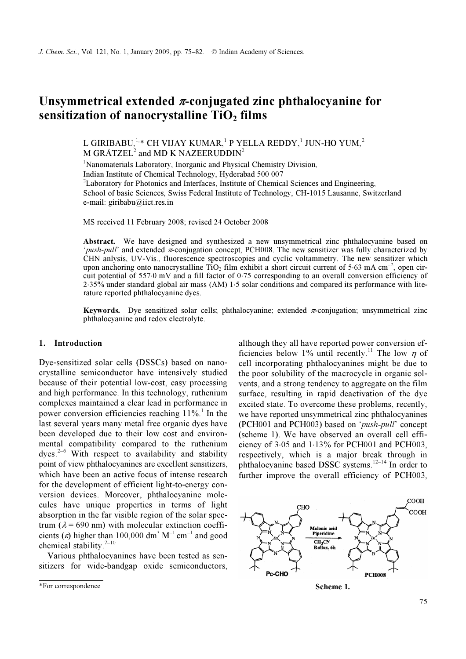# Unsymmetrical extended  $\pi$ -conjugated zinc phthalocyanine for sensitization of nanocrystalline  $TiO<sub>2</sub>$  films

L GIRIBABU, $^{1,\ast}$  CH VIJAY KUMAR, $^{1}$  P YELLA REDDY, $^{1}$  JUN-HO YUM, $^{2}$ M GRÄTZEL $^2$  and MD K NAZEERUDDIN $^2$ 

<sup>1</sup>Nanomaterials Laboratory, Inorganic and Physical Chemistry Division, Indian Institute of Chemical Technology, Hyderabad 500 007 <sup>2</sup>Laboratory for Photonics and Interfaces, Institute of Chemical Sciences and Engineering, School of basic Sciences, Swiss Federal Institute of Technology, CH-1015 Lausanne, Switzerland e-mail: giribabu@iict.res.in

MS received 11 February 2008; revised 24 October 2008

Abstract. We have designed and synthesized a new unsymmetrical zinc phthalocyanine based on '*push-pull'* and extended  $\pi$ -conjugation concept, PCH008. The new sensitizer was fully characterized by CHN anlysis, UV-Vis., fluorescence spectroscopies and cyclic voltammetry. The new sensitizer which upon anchoring onto nanocrystalline TiO<sub>2</sub> film exhibit a short circuit current of 5⋅63 mA cm<sup>-2</sup>, open circuit potential of 557⋅0 mV and a fill factor of 0⋅75 corresponding to an overall conversion efficiency of 2⋅35% under standard global air mass (AM) 1⋅5 solar conditions and compared its performance with literature reported phthalocyanine dyes.

**Keywords.** Dye sensitized solar cells; phthalocyanine; extended  $\pi$ -conjugation; unsymmetrical zinc phthalocyanine and redox electrolyte.

## 1. Introduction

Dye-sensitized solar cells (DSSCs) based on nanocrystalline semiconductor have intensively studied because of their potential low-cost, easy processing and high performance. In this technology, ruthenium complexes maintained a clear lead in performance in power conversion efficiencies reaching  $11\%$ <sup>1</sup>. In the last several years many metal free organic dyes have been developed due to their low cost and environmental compatibility compared to the ruthenium dves. $2-6$  With respect to availability and stability point of view phthalocyanines are excellent sensitizers, which have been an active focus of intense research for the development of efficient light-to-energy conversion devices. Moreover, phthalocyanine molecules have unique properties in terms of light absorption in the far visible region of the solar spectrum ( $\lambda$  = 690 nm) with molecular extinction coefficients ( $\varepsilon$ ) higher than 100,000 dm<sup>3</sup> M<sup>-1</sup> cm<sup>-1</sup> and good chemical stability.<sup>7-10</sup>

 Various phthalocyanines have been tested as sensitizers for wide-bandgap oxide semiconductors, although they all have reported power conversion efficiencies below 1% until recently.<sup>11</sup> The low  $\eta$  of cell incorporating phthalocyanines might be due to the poor solubility of the macrocycle in organic solvents, and a strong tendency to aggregate on the film surface, resulting in rapid deactivation of the dye excited state. To overcome these problems, recently, we have reported unsymmetrical zinc phthalocyanines (PCH001 and PCH003) based on 'push-pull' concept (scheme 1). We have observed an overall cell efficiency of 3⋅05 and 1⋅13% for PCH001 and PCH003, respectively, which is a major break through in phthalocyanine based DSSC systems.<sup>12–14</sup> In order to further improve the overall efficiency of PCH003,



<sup>\*</sup>For correspondence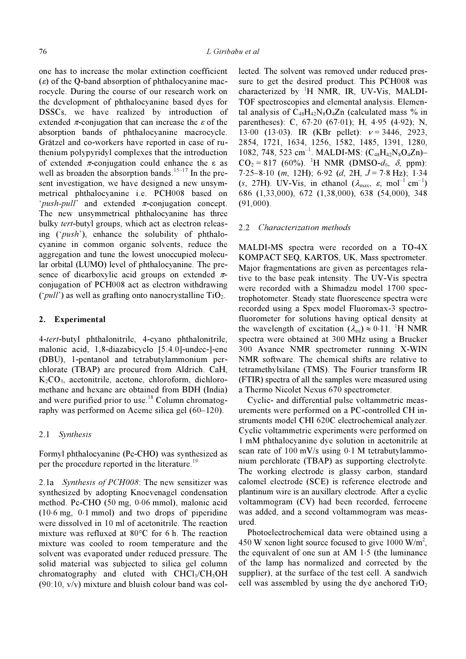one has to increase the molar extinction coefficient  $(\varepsilon)$  of the Q-band absorption of phthalocyanine macrocycle. During the course of our research work on the development of phthalocyanine based dyes for DSSCs, we have realized by introduction of extended  $\pi$ -conjugation that can increase the  $\varepsilon$  of the absorption bands of phthalocyanine macrocycle. Grätzel and co-workers have reported in case of ruthenium polypyridyl complexes that the introduction of extended π-conjugation could enhance the ε as well as broaden the absorption bands.<sup>15–17</sup> In the present investigation, we have designed a new unsymmetrical phthalocyanine i.e. PCH008 based on '*push-pull*' and extended  $\pi$ -conjugation concept. The new unsymmetrical phthalocyanine has three bulky *tert*-butyl groups, which act as electron releasing ('push'), enhance the solubility of phthalocyanine in common organic solvents, reduce the aggregation and tune the lowest unoccupied molecular orbital (LUMO) level of phthalocyanine. The presence of dicarboxylic acid groups on extended  $\pi$ conjugation of PCH008 act as electron withdrawing ('*pull'*) as well as grafting onto nanocrystalline  $TiO<sub>2</sub>$ .

#### 2. Experimental

4-tert-butyl phthalonitrile, 4-cyano phthalonitrile, malonic acid, 1,8-diazabicyclo [5.4.0]-undec-]-ene (DBU), 1-pentanol and tetrabutylammonium perchlorate (TBAP) are procured from Aldrich. CaH,  $K_2CO_3$ , acetonitrile, acetone, chloroform, dichloromethane and hexane are obtained from BDH (India) and were purified prior to use.<sup>18</sup> Column chromatography was performed on Aceme silica gel (60–120).

#### 2.1 Synthesis

Formyl phthalocyanine (Pc-CHO) was synthesized as per the procedure reported in the literature.<sup>19</sup>

2.1a Synthesis of PCH008: The new sensitizer was synthesized by adopting Knoevenagel condensation method. Pc-CHO (50 mg, 0⋅06 mmol), malonic acid (10⋅6 mg, 0⋅1 mmol) and two drops of piperidine were dissolved in 10 ml of acetonitrile. The reaction mixture was refluxed at 80°C for 6 h. The reaction mixture was cooled to room temperature and the solvent was evaporated under reduced pressure. The solid material was subjected to silica gel column chromatography and eluted with  $CHCl<sub>3</sub>/CH<sub>3</sub>OH$  $(90:10, v/v)$  mixture and bluish colour band was collected. The solvent was removed under reduced pressure to get the desired product. This PCH008 was characterized by <sup>1</sup>H NMR, IR, UV-Vis, MALDI-TOF spectroscopies and elemental analysis. Elemental analysis of  $C_{48}H_{42}N_8O_4Zn$  (calculated mass % in parentheses): C, 67⋅20 (67⋅01); H, 4⋅95 (4⋅92); N, 13⋅00 (13⋅03). IR (KBr pellet):  $v = 3446$ , 2923, 2854, 1721, 1634, 1256, 1582, 1485, 1391, 1280, 1082, 748, 523 cm<sup>-1</sup>. MALDI-MS:  $(C_{48}H_{42}N_8O_4Zn)$ - $CO_2 = 817$  (60%). <sup>1</sup>H NMR (DMSO- $d_6$ ,  $\delta$ , ppm):  $7·25-8·10$  (m, 12H); 6⋅92 (d, 2H,  $J = 7·8$  Hz); 1⋅34 (s, 27H). UV-Vis, in ethanol ( $\lambda_{\text{max}}$ ,  $\varepsilon$ , mol<sup>-1</sup> cm<sup>-1</sup>) 686 (1,33,000), 672 (1,38,000), 638 (54,000), 348 (91,000).

#### 2.2 Characterization methods

MALDI-MS spectra were recorded on a TO-4X KOMPACT SEQ, KARTOS, UK, Mass spectrometer. Major fragmentations are given as percentages relative to the base peak intensity. The UV-Vis spectra were recorded with a Shimadzu model 1700 spectrophotometer. Steady state fluorescence spectra were recorded using a Spex model Fluoromax-3 spectrofluorometer for solutions having optical density at the wavelength of excitation  $(\lambda_{\text{ex}}) \approx 0.11$ . <sup>1</sup>H NMR spectra were obtained at 300 MHz using a Brucker 300 Avance NMR spectrometer running X-WIN NMR software. The chemical shifts are relative to tetramethylsilane (TMS). The Fourier transform IR (FTIR) spectra of all the samples were measured using a Thermo Nicolet Nexus 670 spectrometer.

 Cyclic- and differential pulse voltammetric measurements were performed on a PC-controlled CH instruments model CHI 620C electrochemical analyzer. Cyclic voltammetric experiments were performed on 1 mM phthalocyanine dye solution in acetonitrile at scan rate of 100 mV/s using 0⋅1 M tetrabutylammonium perchlorate (TBAP) as supporting electrolyte. The working electrode is glassy carbon, standard calomel electrode (SCE) is reference electrode and plantinum wire is an auxillary electrode. After a cyclic voltammogram (CV) had been recorded, ferrocene was added, and a second voltammogram was measured.

 Photoelectrochemical data were obtained using a 450 W xenon light source focused to give  $1000 \text{ W/m}^2$ , the equivalent of one sun at AM 1⋅5 (the luminance of the lamp has normalized and corrected by the supplier), at the surface of the test cell. A sandwich cell was assembled by using the dye anchored  $TiO<sub>2</sub>$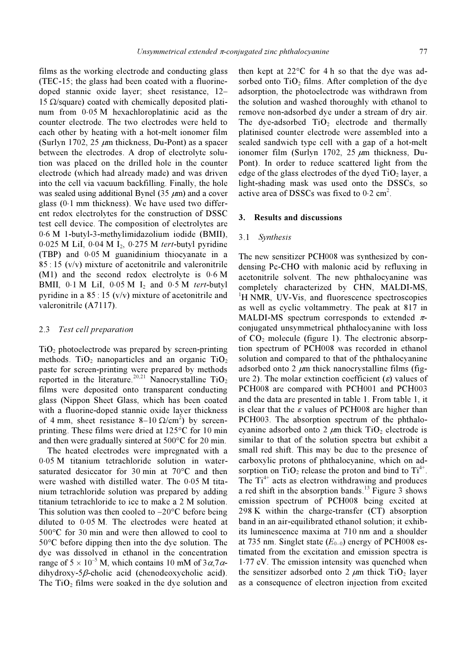films as the working electrode and conducting glass (TEC-15; the glass had been coated with a fluorinedoped stannic oxide layer; sheet resistance, 12– 15 Ω/square) coated with chemically deposited platinum from 0⋅05 M hexachloroplatinic acid as the counter electrode. The two electrodes were held to each other by heating with a hot-melt ionomer film (Surlyn 1702, 25  $\mu$ m thickness, Du-Pont) as a spacer between the electrodes. A drop of electrolyte solution was placed on the drilled hole in the counter electrode (which had already made) and was driven into the cell via vacuum backfilling. Finally, the hole was sealed using additional Bynel (35  $\mu$ m) and a cover glass (0⋅1 mm thickness). We have used two different redox electrolytes for the construction of DSSC test cell device. The composition of electrolytes are 0⋅6 M 1-butyl-3-methylimidazolium iodide (BMII), 0⋅025 M LiI, 0⋅04 M I2, 0⋅275 M tert-butyl pyridine (TBP) and 0⋅05 M guanidinium thiocyanate in a  $85 : 15$  (v/v) mixture of acetonitrile and valeronitrile (M1) and the second redox electrolyte is 0⋅6 M BMII,  $0.1 M$  LiI,  $0.05 M$  I<sub>2</sub> and  $0.5 M$  tert-butyl pyridine in a  $85:15$  (v/v) mixture of acetonitrile and valeronitrile (A7117).

## 2.3 Test cell preparation

 $TiO<sub>2</sub>$  photoelectrode was prepared by screen-printing methods. TiO<sub>2</sub> nanoparticles and an organic TiO<sub>2</sub> paste for screen-printing were prepared by methods reported in the literature.<sup>20,21</sup> Nanocrystalline TiO<sub>2</sub> films were deposited onto transparent conducting glass (Nippon Sheet Glass, which has been coated with a fluorine-doped stannic oxide layer thickness of 4 mm, sheet resistance  $8-10 \Omega/cm^2$ ) by screenprinting. These films were dried at 125°C for 10 min and then were gradually sintered at 500°C for 20 min.

 The heated electrodes were impregnated with a 0⋅05 M titanium tetrachloride solution in watersaturated desiccator for 30 min at 70°C and then were washed with distilled water. The 0⋅05 M titanium tetrachloride solution was prepared by adding titanium tetrachloride to ice to make a 2 M solution. This solution was then cooled to  $-20^{\circ}$ C before being diluted to 0⋅05 M. The electrodes were heated at 500°C for 30 min and were then allowed to cool to 50°C before dipping then into the dye solution. The dye was dissolved in ethanol in the concentration range of  $5 \times 10^{-5}$  M, which contains 10 mM of  $3\alpha$ ,  $7\alpha$ dihydroxy-5β-cholic acid (chenodeoxycholic acid). The  $TiO<sub>2</sub>$  films were soaked in the dye solution and

then kept at 22°C for 4 h so that the dye was adsorbed onto  $TiO<sub>2</sub>$  films. After completion of the dye adsorption, the photoelectrode was withdrawn from the solution and washed thoroughly with ethanol to remove non-adsorbed dye under a stream of dry air. The dye-adsorbed  $TiO<sub>2</sub>$  electrode and thermally platinised counter electrode were assembled into a sealed sandwich type cell with a gap of a hot-melt ionomer film (Surlyn 1702, 25  $\mu$ m thickness, Du-Pont). In order to reduce scattered light from the edge of the glass electrodes of the dyed  $TiO<sub>2</sub>$  layer, a light-shading mask was used onto the DSSCs, so active area of DSSCs was fixed to  $0.2 \text{ cm}^2$ .

#### 3. Results and discussions

#### 3.1 Synthesis

The new sensitizer PCH008 was synthesized by condensing Pc-CHO with malonic acid by refluxing in acetonitrile solvent. The new phthalocyanine was completely characterized by CHN, MALDI-MS, <sup>1</sup>H NMR, UV-Vis, and fluorescence spectroscopies as well as cyclic voltammetry. The peak at 817 in MALDI-MS spectrum corresponds to extended  $\pi$ conjugated unsymmetrical phthalocyanine with loss of  $CO<sub>2</sub>$  molecule (figure 1). The electronic absorption spectrum of PCH008 was recorded in ethanol solution and compared to that of the phthalocyanine adsorbed onto 2  $\mu$ m thick nanocrystalline films (figure 2). The molar extinction coefficient  $(\varepsilon)$  values of PCH008 are compared with PCH001 and PCH003 and the data are presented in table 1. From table 1, it is clear that the  $\varepsilon$  values of PCH008 are higher than PCH003. The absorption spectrum of the phthalocyanine adsorbed onto 2  $\mu$ m thick TiO<sub>2</sub> electrode is similar to that of the solution spectra but exhibit a small red shift. This may be due to the presence of carboxylic protons of phthalocyanine, which on adsorption on  $TiO<sub>2</sub>$  release the proton and bind to  $Ti<sup>4+</sup>$ . The  $Ti^{4+}$  acts as electron withdrawing and produces a red shift in the absorption bands.<sup>13</sup> Figure 3 shows emission spectrum of PCH008 being excited at 298 K within the charge-transfer (CT) absorption band in an air-equilibrated ethanol solution; it exhibits luminescence maxima at 710 nm and a shoulder at 735 nm. Singlet state  $(E_{0-0})$  energy of PCH008 estimated from the excitation and emission spectra is 1⋅77 eV. The emission intensity was quenched when the sensitizer adsorbed onto 2  $\mu$ m thick TiO<sub>2</sub> layer as a consequence of electron injection from excited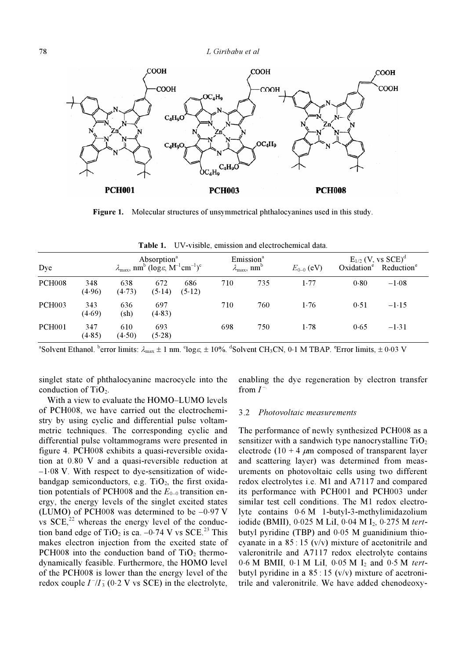

Figure 1. Molecular structures of unsymmetrical phthalocyanines used in this study.

| Dye                |               | Absorption <sup>a</sup><br>$\lambda_{\text{max}}$ , nm <sup>b</sup> (log $\varepsilon$ , M <sup>-1</sup> cm <sup>-1</sup> ) <sup>c</sup> |               | Emission <sup>a</sup><br>$\lambda_{\max}$ , nm <sup>b</sup> |     | $E_{0-0}$ (eV) | $E_{1/2}$ (V, vs $SCE$ ) <sup>d</sup><br>Oxidation <sup>e</sup> Reduction <sup>e</sup> |      |         |
|--------------------|---------------|------------------------------------------------------------------------------------------------------------------------------------------|---------------|-------------------------------------------------------------|-----|----------------|----------------------------------------------------------------------------------------|------|---------|
| <b>PCH008</b>      | 348<br>(4.96) | 638<br>(4.73)                                                                                                                            | 672<br>(5.14) | 686<br>(5.12)                                               | 710 | 735            | 1.77                                                                                   | 0.80 | $-1.08$ |
| PCH <sub>003</sub> | 343<br>(4.69) | 636<br>$(\mathrm{sh})$                                                                                                                   | 697<br>(4.83) |                                                             | 710 | 760            | 1.76                                                                                   | 0.51 | $-1.15$ |
| <b>PCH001</b>      | 347<br>(4.85) | 610<br>(4.50)                                                                                                                            | 693<br>(5.28) |                                                             | 698 | 750            | 1.78                                                                                   | 0.65 | $-1.31$ |

Table 1. UV-visible, emission and electrochemical data.

<sup>a</sup>Solvent Ethanol. <sup>b</sup>error limits:  $\lambda_{\text{max}} \pm 1$  nm. °log $\varepsilon$ ,  $\pm 10\%$ . <sup>d</sup>Solvent CH<sub>3</sub>CN, 0⋅1 M TBAP. °Error limits,  $\pm 0.03$  V

singlet state of phthalocyanine macrocycle into the conduction of  $TiO<sub>2</sub>$ .

 With a view to evaluate the HOMO–LUMO levels of PCH008, we have carried out the electrochemistry by using cyclic and differential pulse voltammetric techniques. The corresponding cyclic and differential pulse voltammograms were presented in figure 4. PCH008 exhibits a quasi-reversible oxidation at 0.80 V and a quasi-reversible reduction at –1⋅08 V. With respect to dye-sensitization of widebandgap semiconductors, e.g.  $TiO<sub>2</sub>$ , the first oxidation potentials of PCH008 and the  $E_{0-0}$  transition energy, the energy levels of the singlet excited states (LUMO) of PCH008 was determined to be  $-0.97$  V vs  $SCE<sub>z</sub><sup>22</sup>$  whereas the energy level of the conduction band edge of TiO<sub>2</sub> is ca. –0⋅74 V vs SCE.<sup>23</sup> This makes electron injection from the excited state of PCH008 into the conduction band of  $TiO<sub>2</sub>$  thermodynamically feasible. Furthermore, the HOMO level of the PCH008 is lower than the energy level of the redox couple  $I^{-}/I_{3}^{-}$  (0⋅2 V vs SCE) in the electrolyte, enabling the dye regeneration by electron transfer from  $I^-$ 

#### 3.2 Photovoltaic measurements

The performance of newly synthesized PCH008 as a sensitizer with a sandwich type nanocrystalline  $TiO<sub>2</sub>$ electrode (10 + 4  $\mu$ m composed of transparent layer and scattering layer) was determined from measurements on photovoltaic cells using two different redox electrolytes i.e. M1 and A7117 and compared its performance with PCH001 and PCH003 under similar test cell conditions. The M1 redox electrolyte contains 0⋅6 M 1-butyl-3-methylimidazolium iodide (BMII), 0⋅025 M LiI, 0⋅04 M I2, 0⋅275 M tertbutyl pyridine (TBP) and 0⋅05 M guanidinium thiocyanate in a  $85:15$  (v/v) mixture of acetonitrile and valeronitrile and A7117 redox electrolyte contains 0⋅6 M BMII, 0⋅1 M LiI, 0⋅05 M I2 and 0⋅5 M tertbutyl pyridine in a  $85 : 15$  (v/v) mixture of acetronitrile and valeronitrile. We have added chenodeoxy-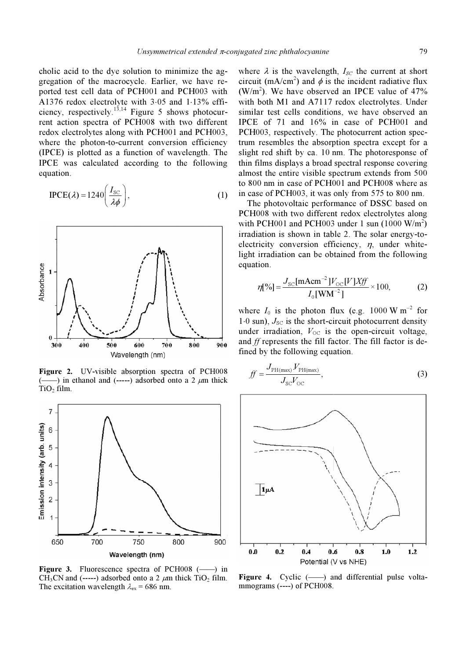cholic acid to the dye solution to minimize the aggregation of the macrocycle. Earlier, we have reported test cell data of PCH001 and PCH003 with A1376 redox electrolyte with 3⋅05 and 1⋅13% efficiency, respectively.<sup>13,14</sup> Figure 5 shows photocurrent action spectra of PCH008 with two different redox electrolytes along with PCH001 and PCH003, where the photon-to-current conversion efficiency (IPCE) is plotted as a function of wavelength. The IPCE was calculated according to the following equation.

$$
\text{IPCE}(\lambda) = 1240 \left( \frac{I_{\text{SC}}}{\lambda \phi} \right),\tag{1}
$$



Figure 2. UV-visible absorption spectra of PCH008  $(-$ ) in ethanol and  $(---)$  adsorbed onto a 2  $\mu$ m thick  $TiO<sub>2</sub> film$ .



Figure 3. Fluorescence spectra of PCH008 (-) in CH<sub>3</sub>CN and (-----) adsorbed onto a 2  $\mu$ m thick TiO<sub>2</sub> film. The excitation wavelength  $\lambda_{ex}$  = 686 nm.

where  $\lambda$  is the wavelength,  $I_{SC}$  the current at short circuit (mA/cm<sup>2</sup>) and  $\phi$  is the incident radiative flux  $(W/m<sup>2</sup>)$ . We have observed an IPCE value of 47% with both M1 and A7117 redox electrolytes. Under similar test cells conditions, we have observed an IPCE of 71 and 16% in case of PCH001 and PCH003, respectively. The photocurrent action spectrum resembles the absorption spectra except for a slight red shift by ca. 10 nm. The photoresponse of thin films displays a broad spectral response covering almost the entire visible spectrum extends from 500 to 800 nm in case of PCH001 and PCH008 where as in case of PCH003, it was only from 575 to 800 nm.

 The photovoltaic performance of DSSC based on PCH008 with two different redox electrolytes along with PCH001 and PCH003 under 1 sun  $(1000 \text{ W/m}^2)$ irradiation is shown in table 2. The solar energy-toelectricity conversion efficiency,  $\eta$ , under whitelight irradiation can be obtained from the following<br>equation.<br> $\eta[\%] = \frac{J_{\text{sc}}[\text{mAcm}^{-2}]V_{\text{oc}}[V]Xff}{I_{\text{c}}[\text{WM}^{-2}]} \times 100,$  (2) equation.

$$
\eta[\%] = \frac{J_{\rm SC}[\text{mAcm}^{-2}]V_{\rm OC}[V]Xff}{I_0[\text{WM}^{-2}]} \times 100,
$$
 (2)

where  $I_0$  is the photon flux (e.g. 1000 W m<sup>-2</sup> for  $1·0$  sun),  $J_{SC}$  is the short-circuit photocurrent density under irradiation,  $V_{\text{OC}}$  is the open-circuit voltage, and ff represents the fill factor. The fill factor is defined by the following equation.

$$
ff = \frac{J_{\text{PH(max)}} V_{\text{PH(max}}}{J_{\text{SC}} V_{\text{OC}}},
$$
\n(3)



Figure 4. Cyclic (-) and differential pulse voltammograms (----) of PCH008.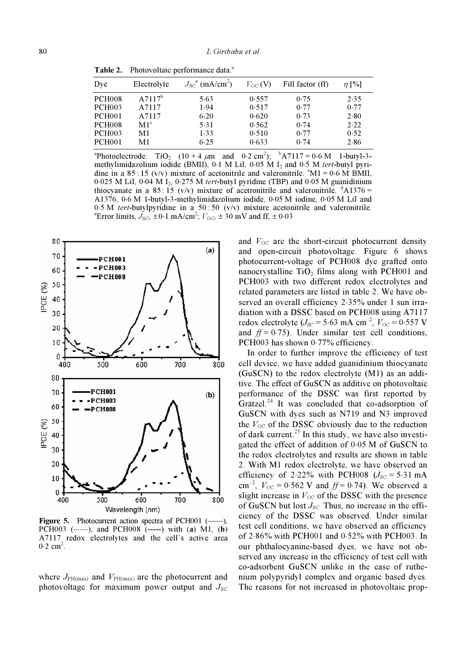|  | Table 2. Photovoltaic performance data. <sup>a</sup> |
|--|------------------------------------------------------|
|  |                                                      |

| Dye           | Electrolyte     | $J_{SC}^{\text{e}}$ (mA/cm <sup>2</sup> ) | $V_{\rm OC}$ (V) | Fill factor (ff) | $\eta$ [%] |  |
|---------------|-----------------|-------------------------------------------|------------------|------------------|------------|--|
| <b>PCH008</b> | $A7117^b$       | 5.63                                      | 0.557            | 0.75             | 2.35       |  |
| PCH003        | A7117           | 1.94                                      | 0.517            | 0.77             | 0.77       |  |
| PCH001        | A7117           | 6.20                                      | 0.620            | 0.73             | 2.80       |  |
| <b>PCH008</b> | M1 <sup>c</sup> | 5.31                                      | 0.562            | 0.74             | 2.22       |  |
| <b>PCH003</b> | M1              | 1.33                                      | 0.510            | 0.77             | 0.52       |  |
| PCH001        | M1              | 6.25                                      | 0.633            | 0.74             | 2.86       |  |
|               |                 |                                           |                  |                  |            |  |

<sup>a</sup>Photoelectrode: Photoelectrode: TiO<sub>2</sub>  $(10 + 4 \mu m)$  and 0⋅2 cm<sup>2</sup>); <sup>b</sup>  ${}^{b}$ A7117 = 0⋅6 M 1-butyl-3methylimidazolium iodide (BMII),  $0.1$  M LiI,  $0.05$  M I<sub>2</sub> and  $0.5$  M tert-butyl pyridine in a  $85 : 15$  (v/v) mixture of acetonitrile and valeronitrile.  $^{\circ}$ M1 = 0⋅6 M BMII, 0⋅025 M LiI, 0⋅04 M I2, 0⋅275 M tert-butyl pyridine (TBP) and 0⋅05 M guanidinium thiocyanate in a  $85:15$  (v/v) mixture of acetronitrile and valeronitrile.  $^{d}A1376 =$ A1376, 0⋅6 M 1-butyl-3-methylimidazolium iodide, 0⋅05 M iodine, 0⋅05 M LiI and 0⋅5 M tert-butylpyridine in a 50 : 50 (v/v) mixture acetonitrile and valeronitrile. Error limits,  $J_{\text{SC}}$ ,  $\pm$  0⋅1 mA/cm<sup>2</sup>;  $V_{\text{OC}}$ ,  $\pm$  30 mV and ff,  $\pm$  0⋅03



Figure 5. Photocurrent action spectra of PCH001 (-----). PCH003  $(\cdots \cdots)$ , and PCH008  $(\cdots \cdots)$  with  $(a)$  M1,  $(b)$ A7117 redox electrolytes and the cell's active area  $0.2 \text{ cm}^2$ .

where  $J_{PH(max)}$  and  $V_{PH(max)}$  are the photocurrent and photovoltage for maximum power output and  $J_{SC}$ 

and  $V_{\text{OC}}$  are the short-circuit photocurrent density and open-circuit photovoltage. Figure 6 shows photocurrent-voltage of PCH008 dye grafted onto nanocrystalline  $TiO<sub>2</sub>$  films along with PCH001 and PCH003 with two different redox electrolytes and related parameters are listed in table 2. We have observed an overall efficiency 2⋅35% under 1 sun irradiation with a DSSC based on PCH008 using A7117 redox electrolyte ( $J_{SC}$  = 5⋅63 mA cm<sup>-2</sup>,  $V_{OC}$  = 0⋅557 V and  $ff = 0.75$ ). Under similar test cell conditions, PCH003 has shown 0.77% efficiency.

 In order to further improve the efficiency of test cell device, we have added guanidinium thiocyanate (GuSCN) to the redox electrolyte (M1) as an additive. The effect of GuSCN as additive on photovoltaic performance of the DSSC was first reported by Grätzel.<sup>24</sup> It was concluded that co-adsorption of GuSCN with dyes such as N719 and N3 improved the  $V_{\text{OC}}$  of the DSSC obviously due to the reduction of dark current.<sup>25</sup> In this study, we have also investigated the effect of addition of 0⋅05 M of GuSCN to the redox electrolytes and results are shown in table 2. With M1 redox electrolyte, we have observed an efficiency of 2⋅22% with PCH008 ( $J_{SC}$  = 5⋅31 mA cm<sup>-2</sup>,  $V_{\text{OC}} = 0.562$  V and  $ff = 0.74$ ). We observed a slight increase in  $V_{OC}$  of the DSSC with the presence of GuSCN but lost  $J_{\rm SC}$ . Thus, no increase in the efficiency of the DSSC was observed. Under similar test cell conditions, we have observed an efficiency of 2⋅86% with PCH001 and 0⋅52% with PCH003. In our phthalocyanine-based dyes, we have not observed any increase in the efficiency of test cell with co-adsorbent GuSCN unlike in the case of ruthenium polypyridyl complex and organic based dyes. The reasons for not increased in photovoltaic prop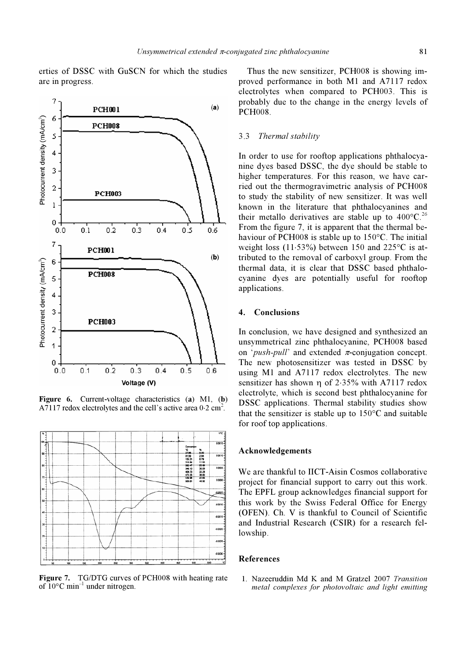erties of DSSC with GuSCN for which the studies are in progress.



Figure 6. Current-voltage characteristics (a) M1, (b) A7117 redox electrolytes and the cell's active area 0⋅2 cm<sup>2</sup>.



Figure 7. TG/DTG curves of PCH008 with heating rate of  $10^{\circ}$ C min<sup>-1</sup> under nitrogen.

 Thus the new sensitizer, PCH008 is showing improved performance in both M1 and A7117 redox electrolytes when compared to PCH003. This is probably due to the change in the energy levels of PCH008.

#### 3.3 Thermal stability

In order to use for rooftop applications phthalocyanine dyes based DSSC, the dye should be stable to higher temperatures. For this reason, we have carried out the thermogravimetric analysis of PCH008 to study the stability of new sensitizer. It was well known in the literature that phthalocyanines and their metallo derivatives are stable up to  $400^{\circ}$ C.<sup>26</sup> From the figure 7, it is apparent that the thermal behaviour of PCH008 is stable up to 150°C. The initial weight loss (11⋅53%) between 150 and 225°C is attributed to the removal of carboxyl group. From the thermal data, it is clear that DSSC based phthalocyanine dyes are potentially useful for rooftop applications.

# 4. Conclusions

In conclusion, we have designed and synthesized an unsymmetrical zinc phthalocyanine, PCH008 based on '*push-pull'* and extended  $\pi$ -conjugation concept. The new photosensitizer was tested in DSSC by using M1 and A7117 redox electrolytes. The new sensitizer has shown η of 2⋅35% with A7117 redox electrolyte, which is second best phthalocyanine for DSSC applications. Thermal stability studies show that the sensitizer is stable up to  $150^{\circ}$ C and suitable for roof top applications.

# Acknowledgements

We are thankful to IICT-Aisin Cosmos collaborative project for financial support to carry out this work. The EPFL group acknowledges financial support for this work by the Swiss Federal Office for Energy (OFEN). Ch. V is thankful to Council of Scientific and Industrial Research (CSIR) for a research fellowship.

#### References

1. Nazeeruddin Md K and M Gratzel 2007 Transition metal complexes for photovoltaic and light emitting